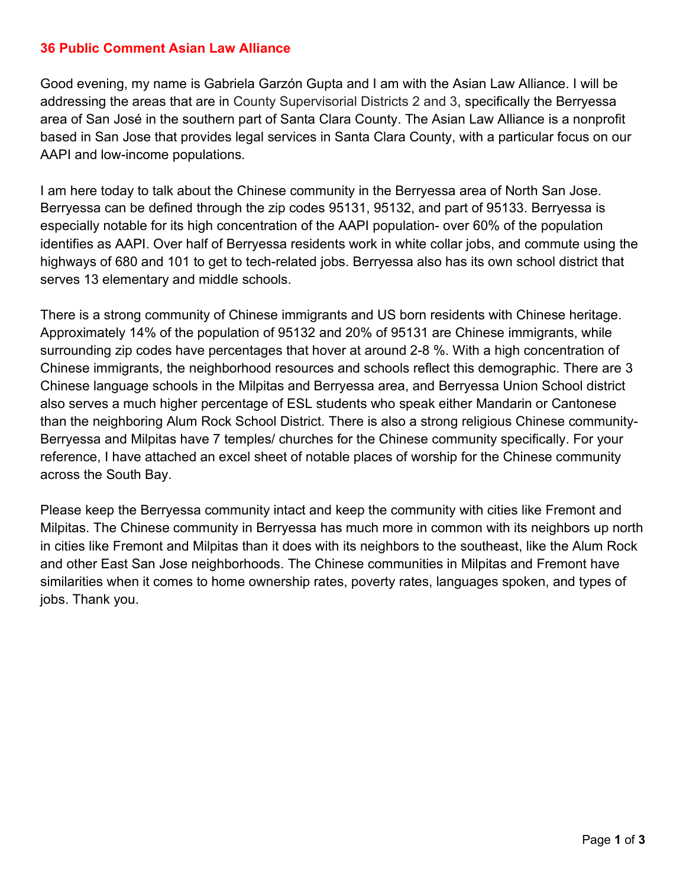#### **36 Public Comment Asian Law Alliance**

Good evening, my name is Gabriela Garzón Gupta and I am with the Asian Law Alliance. I will be addressing the areas that are in County Supervisorial Districts 2 and 3, specifically the Berryessa area of San José in the southern part of Santa Clara County. The Asian Law Alliance is a nonprofit based in San Jose that provides legal services in Santa Clara County, with a particular focus on our AAPI and low-income populations.

I am here today to talk about the Chinese community in the Berryessa area of North San Jose. Berryessa can be defined through the zip codes 95131, 95132, and part of 95133. Berryessa is especially notable for its high concentration of the AAPI population- over 60% of the population identifies as AAPI. Over half of Berryessa residents work in white collar jobs, and commute using the highways of 680 and 101 to get to tech-related jobs. Berryessa also has its own school district that serves 13 elementary and middle schools.

There is a strong community of Chinese immigrants and US born residents with Chinese heritage. Approximately 14% of the population of 95132 and 20% of 95131 are Chinese immigrants, while surrounding zip codes have percentages that hover at around 2-8 %. With a high concentration of Chinese immigrants, the neighborhood resources and schools reflect this demographic. There are 3 Chinese language schools in the Milpitas and Berryessa area, and Berryessa Union School district also serves a much higher percentage of ESL students who speak either Mandarin or Cantonese than the neighboring Alum Rock School District. There is also a strong religious Chinese community-Berryessa and Milpitas have 7 temples/ churches for the Chinese community specifically. For your reference, I have attached an excel sheet of notable places of worship for the Chinese community across the South Bay.

Please keep the Berryessa community intact and keep the community with cities like Fremont and Milpitas. The Chinese community in Berryessa has much more in common with its neighbors up north in cities like Fremont and Milpitas than it does with its neighbors to the southeast, like the Alum Rock and other East San Jose neighborhoods. The Chinese communities in Milpitas and Fremont have similarities when it comes to home ownership rates, poverty rates, languages spoken, and types of jobs. Thank you.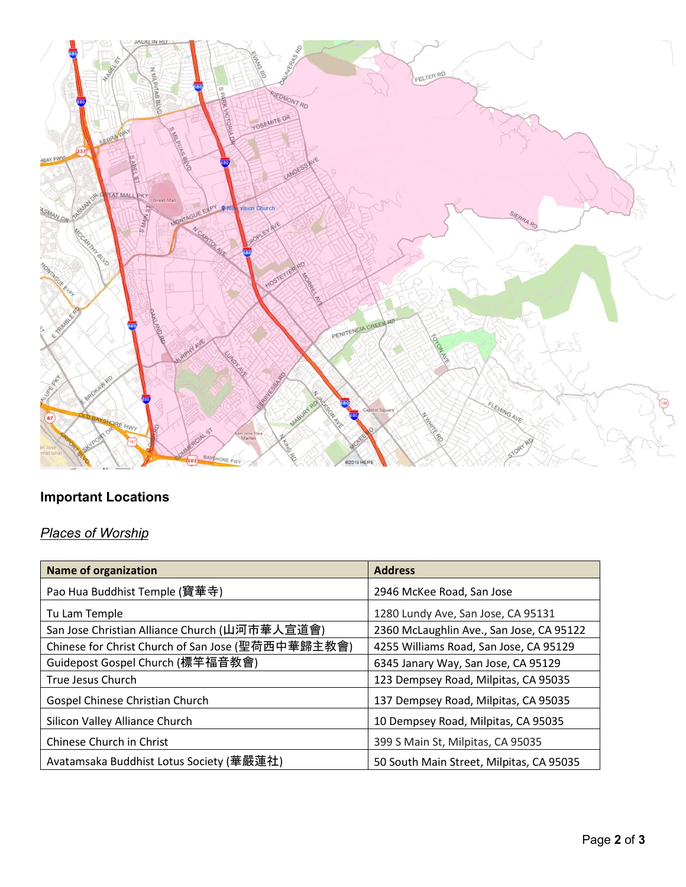

# **Important Locations**

# *Places of Worship*

| <b>Name of organization</b>                       | <b>Address</b>                           |
|---------------------------------------------------|------------------------------------------|
| Pao Hua Buddhist Temple (寶華寺)                     | 2946 McKee Road, San Jose                |
| Tu Lam Temple                                     | 1280 Lundy Ave, San Jose, CA 95131       |
| San Jose Christian Alliance Church (山河市華人宣道會)     | 2360 McLaughlin Ave., San Jose, CA 95122 |
| Chinese for Christ Church of San Jose (聖荷西中華歸主教會) | 4255 Williams Road, San Jose, CA 95129   |
| Guidepost Gospel Church (標竿福音教會)                  | 6345 Janary Way, San Jose, CA 95129      |
| True Jesus Church                                 | 123 Dempsey Road, Milpitas, CA 95035     |
| Gospel Chinese Christian Church                   | 137 Dempsey Road, Milpitas, CA 95035     |
| Silicon Valley Alliance Church                    | 10 Dempsey Road, Milpitas, CA 95035      |
| Chinese Church in Christ                          | 399 S Main St, Milpitas, CA 95035        |
| Avatamsaka Buddhist Lotus Society (華嚴蓮社)          | 50 South Main Street, Milpitas, CA 95035 |